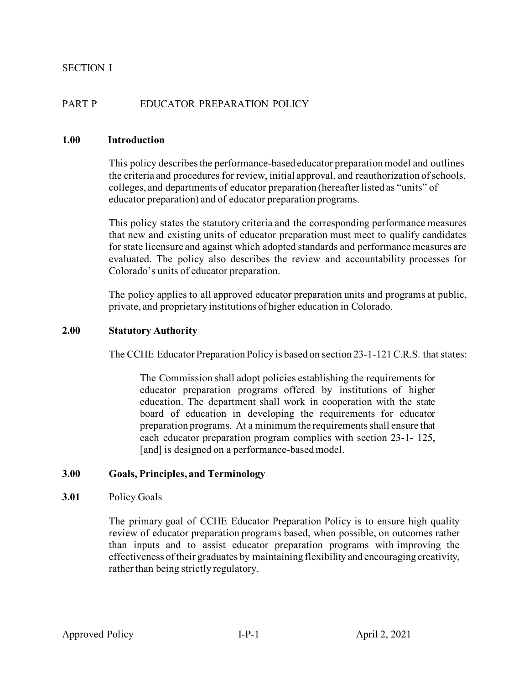## PART P EDUCATOR PREPARATION POLICY

#### **1.00 Introduction**

This policy describes the performance-based educator preparation model and outlines the criteria and procedures for review, initial approval, and reauthorization of schools, colleges, and departments of educator preparation (hereafter listed as "units" of educator preparation) and of educator preparation programs.

This policy states the statutory criteria and the corresponding performance measures that new and existing units of educator preparation must meet to qualify candidates for state licensure and against which adopted standards and performance measures are evaluated. The policy also describes the review and accountability processes for Colorado's units of educator preparation.

The policy applies to all approved educator preparation units and programs at public, private, and proprietary institutions of higher education in Colorado.

#### **2.00 Statutory Authority**

The CCHE Educator Preparation Policy is based on section 23-1-121 C.R.S. that states:

The Commission shall adopt policies establishing the requirements for educator preparation programs offered by institutions of higher education. The department shall work in cooperation with the state board of education in developing the requirements for educator preparation programs. At a minimum the requirements shall ensure that each educator preparation program complies with section 23-1- 125, [and] is designed on a performance-based model.

### **3.00 Goals, Principles, and Terminology**

#### **3.01** Policy Goals

The primary goal of CCHE Educator Preparation Policy is to ensure high quality review of educator preparation programs based, when possible, on outcomes rather than inputs and to assist educator preparation programs with improving the effectiveness of their graduates by maintaining flexibility and encouraging creativity, rather than being strictly regulatory.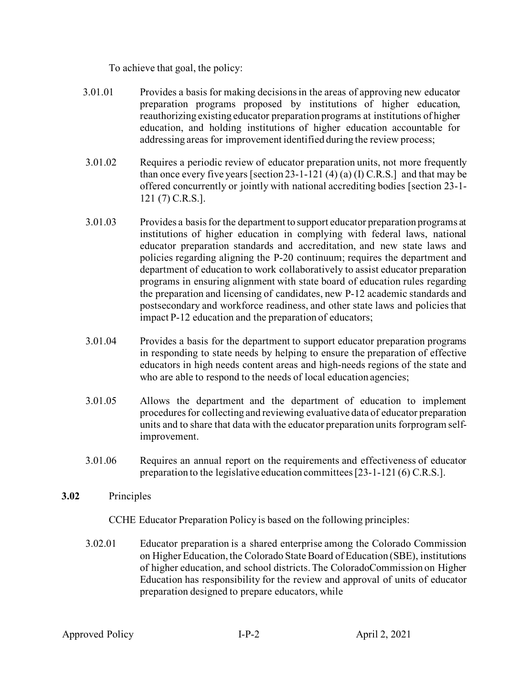To achieve that goal, the policy:

- 3.01.01 Provides a basis for making decisionsin the areas of approving new educator preparation programs proposed by institutions of higher education, reauthorizing existing educator preparation programs at institutions of higher education, and holding institutions of higher education accountable for addressing areas for improvement identified during the review process;
- 3.01.02 Requires a periodic review of educator preparation units, not more frequently than once every five years [section 23-1-121 (4) (a) (I) C.R.S.] and that may be offered concurrently or jointly with national accrediting bodies [section 23-1- 121 (7) C.R.S.].
- 3.01.03 Provides a basis for the department to support educator preparation programs at institutions of higher education in complying with federal laws, national educator preparation standards and accreditation, and new state laws and policies regarding aligning the P-20 continuum; requires the department and department of education to work collaboratively to assist educator preparation programs in ensuring alignment with state board of education rules regarding the preparation and licensing of candidates, new P-12 academic standards and postsecondary and workforce readiness, and other state laws and policies that impact P-12 education and the preparation of educators;
- 3.01.04 Provides a basis for the department to support educator preparation programs in responding to state needs by helping to ensure the preparation of effective educators in high needs content areas and high-needs regions of the state and who are able to respond to the needs of local education agencies;
- 3.01.05 Allows the department and the department of education to implement procedures for collecting and reviewing evaluative data of educator preparation units and to share that data with the educator preparation units forprogram selfimprovement.
- 3.01.06 Requires an annual report on the requirements and effectiveness of educator preparation to the legislative education committees[23-1-121 (6) C.R.S.].
- **3.02** Principles

CCHE Educator Preparation Policy is based on the following principles:

3.02.01 Educator preparation is a shared enterprise among the Colorado Commission on Higher Education, the Colorado State Board of Education (SBE), institutions of higher education, and school districts.The ColoradoCommission on Higher Education has responsibility for the review and approval of units of educator preparation designed to prepare educators, while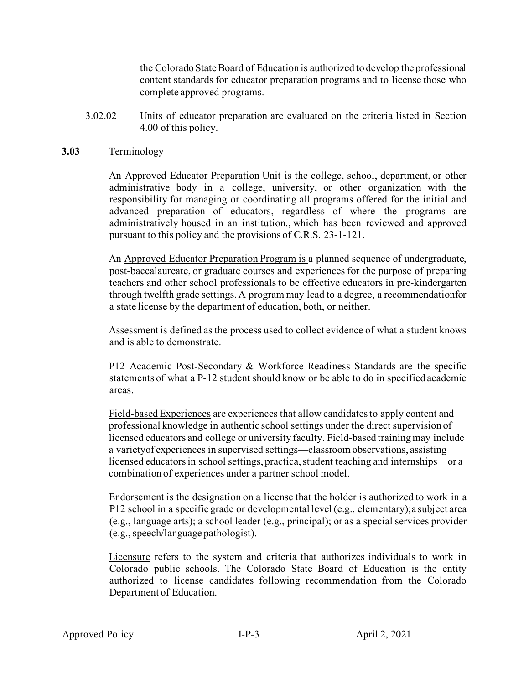the Colorado State Board of Education is authorized to develop the professional content standards for educator preparation programs and to license those who complete approved programs.

3.02.02 Units of educator preparation are evaluated on the criteria listed in Section 4.00 of this policy.

#### **3.03** Terminology

An Approved Educator Preparation Unit is the college, school, department, or other administrative body in a college, university, or other organization with the responsibility for managing or coordinating all programs offered for the initial and advanced preparation of educators, regardless of where the programs are administratively housed in an institution., which has been reviewed and approved pursuant to this policy and the provisions of C.R.S. 23-1-121.

An Approved Educator Preparation Program is a planned sequence of undergraduate, post-baccalaureate, or graduate courses and experiences for the purpose of preparing teachers and other school professionals to be effective educators in pre-kindergarten through twelfth grade settings. A program may lead to a degree, a recommendationfor a state license by the department of education, both, or neither.

Assessment is defined as the process used to collect evidence of what a student knows and is able to demonstrate.

P12 Academic Post-Secondary & Workforce Readiness Standards are the specific statements of what a P-12 student should know or be able to do in specified academic areas.

Field-based Experiences are experiences that allow candidates to apply content and professional knowledge in authentic school settings under the direct supervision of licensed educators and college or university faculty. Field-based training may include a varietyof experiences in supervised settings—classroom observations, assisting licensed educators in school settings, practica, student teaching and internships—or a combination of experiences under a partner school model.

Endorsement is the designation on a license that the holder is authorized to work in a P12 school in a specific grade or developmental level (e.g., elementary);a subject area (e.g., language arts); a school leader (e.g., principal); or as a special services provider (e.g., speech/language pathologist).

Licensure refers to the system and criteria that authorizes individuals to work in Colorado public schools. The Colorado State Board of Education is the entity authorized to license candidates following recommendation from the Colorado Department of Education.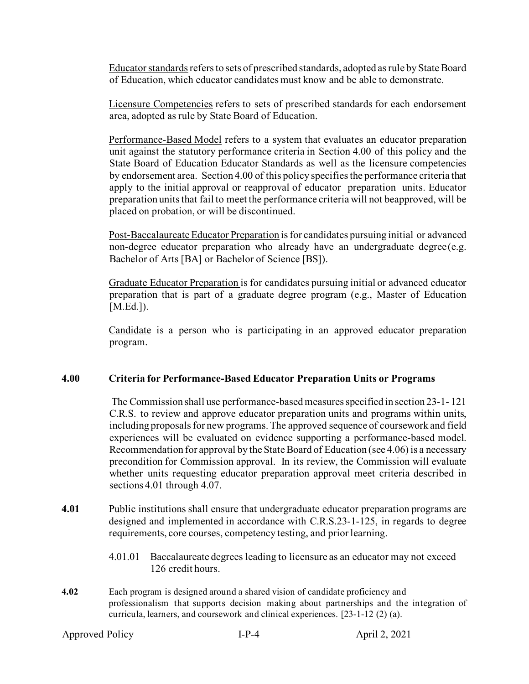Educator standards refers to sets of prescribed standards, adopted as rule by State Board of Education, which educator candidates must know and be able to demonstrate.

Licensure Competencies refers to sets of prescribed standards for each endorsement area, adopted as rule by State Board of Education.

Performance-Based Model refers to a system that evaluates an educator preparation unit against the statutory performance criteria in Section 4.00 of this policy and the State Board of Education Educator Standards as well as the licensure competencies by endorsement area. Section 4.00 of this policy specifies the performance criteria that apply to the initial approval or reapproval of educator preparation units. Educator preparation units that fail to meet the performance criteria will not beapproved, will be placed on probation, or will be discontinued.

Post-Baccalaureate Educator Preparation isfor candidates pursuing initial or advanced non-degree educator preparation who already have an undergraduate degree(e.g. Bachelor of Arts [BA] or Bachelor of Science [BS]).

Graduate Educator Preparation is for candidates pursuing initial or advanced educator preparation that is part of a graduate degree program (e.g., Master of Education [M.Ed.]).

Candidate is a person who is participating in an approved educator preparation program.

### **4.00 Criteria for Performance-Based Educator Preparation Units or Programs**

The Commission shall use performance-based measures specified in section 23-1- 121 C.R.S. to review and approve educator preparation units and programs within units, including proposals for new programs.The approved sequence of coursework and field experiences will be evaluated on evidence supporting a performance-based model. Recommendation for approval by the State Board of Education (see 4.06) is a necessary precondition for Commission approval. In its review, the Commission will evaluate whether units requesting educator preparation approval meet criteria described in sections 4.01 through 4.07.

- **4.01** Public institutions shall ensure that undergraduate educator preparation programs are designed and implemented in accordance with C.R.S.23-1-125, in regards to degree requirements, core courses, competency testing, and prior learning.
	- 4.01.01 Baccalaureate degrees leading to licensure as an educator may not exceed 126 credit hours.
- **4.02** Each program is designed around a shared vision of candidate proficiency and professionalism that supports decision making about partnerships and the integration of curricula, learners, and coursework and clinical experiences. [23-1-12 (2) (a).

```
Approved Policy I-P-4 April 2, 2021
```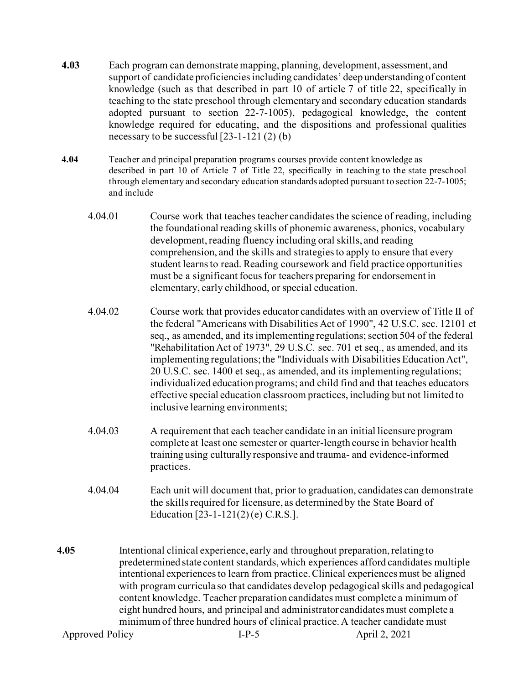- **4.03** Each program can demonstrate mapping, planning, development, assessment, and support of candidate proficiencies including candidates' deep understanding of content knowledge (such as that described in part 10 of article 7 of title 22, specifically in teaching to the state preschool through elementary and secondary education standards adopted pursuant to section 22-7-1005), pedagogical knowledge, the content knowledge required for educating, and the dispositions and professional qualities necessary to be successful [23-1-121 (2) (b)
- **4.04** Teacher and principal preparation programs courses provide content knowledge as described in part 10 of Article 7 of Title 22, specifically in teaching to the state preschool through elementary and secondary education standards adopted pursuant to section 22-7-1005; and include
	- 4.04.01 Course work that teaches teacher candidates the science of reading, including the foundational reading skills of phonemic awareness, phonics, vocabulary development, reading fluency including oral skills, and reading comprehension, and the skills and strategies to apply to ensure that every student learns to read. Reading coursework and field practice opportunities must be a significant focus for teachers preparing for endorsement in elementary, early childhood, or special education.
	- 4.04.02 Course work that provides educator candidates with an overview of Title II of the federal "Americans with Disabilities Act of 1990", 42 U.S.C. sec. 12101 et seq., as amended, and its implementing regulations; section 504 of the federal "Rehabilitation Act of 1973", 29 U.S.C. sec. 701 et seq., as amended, and its implementing regulations; the "Individuals with Disabilities Education Act", 20 U.S.C. sec. 1400 et seq., as amended, and its implementing regulations; individualized education programs; and child find and that teaches educators effective special education classroom practices, including but not limited to inclusive learning environments;
	- 4.04.03 A requirement that each teacher candidate in an initial licensure program complete at least one semester or quarter-length course in behavior health training using culturally responsive and trauma- and evidence-informed practices.
	- 4.04.04 Each unit will document that, prior to graduation, candidates can demonstrate the skills required for licensure, as determined by the State Board of Education [23-1-121(2) (e) C.R.S.].
- Approved Policy **I-P-5** April 2, 2021 **4.05** Intentional clinical experience, early and throughout preparation, relating to predetermined state content standards, which experiences afford candidates multiple intentional experiences to learn from practice. Clinical experiences must be aligned with program curricula so that candidates develop pedagogical skills and pedagogical content knowledge. Teacher preparation candidates must complete a minimum of eight hundred hours, and principal and administrator candidates must complete a minimum of three hundred hours of clinical practice. A teacher candidate must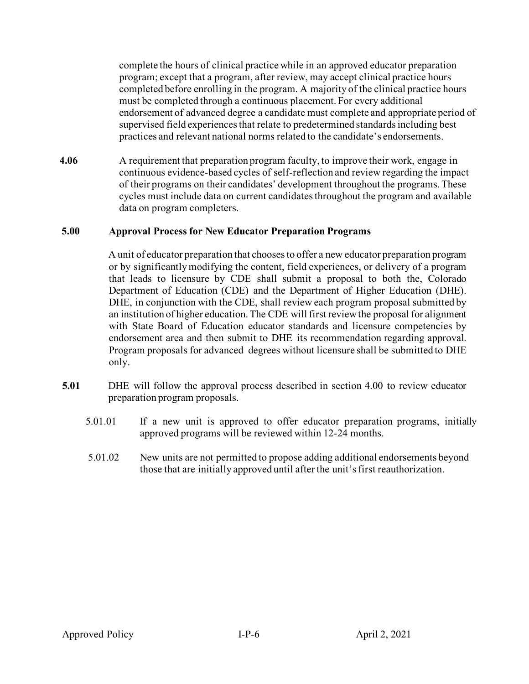complete the hours of clinical practice while in an approved educator preparation program; except that a program, after review, may accept clinical practice hours completed before enrolling in the program. A majority of the clinical practice hours must be completed through a continuous placement. For every additional endorsement of advanced degree a candidate must complete and appropriate period of supervised field experiences that relate to predetermined standards including best practices and relevant national norms related to the candidate's endorsements.

**4.06** A requirement that preparation program faculty, to improve their work, engage in continuous evidence-based cycles of self-reflection and review regarding the impact of their programs on their candidates' development throughout the programs. These cycles must include data on current candidates throughout the program and available data on program completers.

## **5.00 Approval Process for New Educator Preparation Programs**

A unit of educator preparation that chooses to offer a new educator preparation program or by significantly modifying the content, field experiences, or delivery of a program that leads to licensure by CDE shall submit a proposal to both the, Colorado Department of Education (CDE) and the Department of Higher Education (DHE). DHE, in conjunction with the CDE, shall review each program proposal submitted by an institution of higher education. The CDE will first review the proposal for alignment with State Board of Education educator standards and licensure competencies by endorsement area and then submit to DHE its recommendation regarding approval. Program proposals for advanced degrees without licensure shall be submitted to DHE only.

- **5.01** DHE will follow the approval process described in section 4.00 to review educator preparation program proposals.
	- 5.01.01 If a new unit is approved to offer educator preparation programs, initially approved programs will be reviewed within 12-24 months.
	- 5.01.02 New units are not permitted to propose adding additional endorsements beyond those that are initially approved until after the unit's first reauthorization.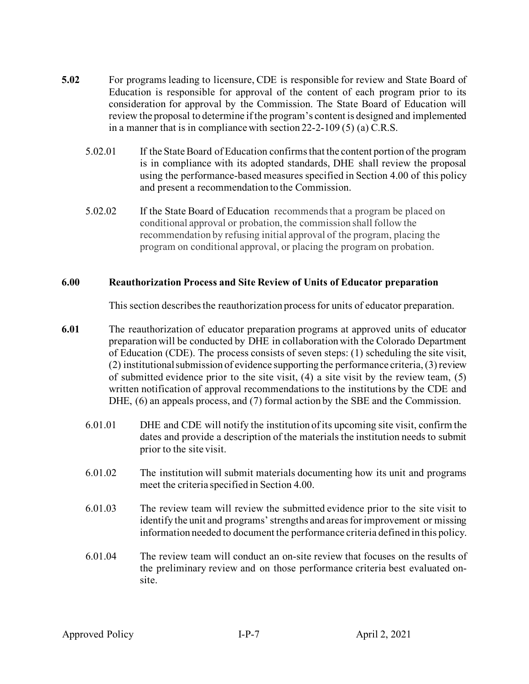- **5.02** For programs leading to licensure, CDE is responsible for review and State Board of Education is responsible for approval of the content of each program prior to its consideration for approval by the Commission. The State Board of Education will review the proposal to determine if the program's content is designed and implemented in a manner that is in compliance with section 22-2-109 (5) (a) C.R.S.
	- 5.02.01 If the State Board of Education confirms that the content portion of the program is in compliance with its adopted standards, DHE shall review the proposal using the performance-based measures specified in Section 4.00 of this policy and present a recommendation to the Commission.
	- 5.02.02 If the State Board of Education recommendsthat a program be placed on conditional approval or probation, the commission shall follow the recommendation by refusing initial approval of the program, placing the program on conditional approval, or placing the program on probation.

## **6.00 Reauthorization Process and Site Review of Units of Educator preparation**

This section describesthe reauthorization processfor units of educator preparation.

- **6.01** The reauthorization of educator preparation programs at approved units of educator preparation will be conducted by DHE in collaboration with the Colorado Department of Education (CDE). The process consists of seven steps: (1) scheduling the site visit, (2) institutional submission of evidence supporting the performance criteria, (3) review of submitted evidence prior to the site visit, (4) a site visit by the review team, (5) written notification of approval recommendations to the institutions by the CDE and DHE, (6) an appeals process, and (7) formal action by the SBE and the Commission.
	- 6.01.01 DHE and CDE will notify the institution of its upcoming site visit, confirm the dates and provide a description of the materials the institution needs to submit prior to the site visit.
	- 6.01.02 The institution will submit materials documenting how its unit and programs meet the criteria specified in Section 4.00.
	- 6.01.03 The review team will review the submitted evidence prior to the site visit to identify the unit and programs' strengths and areas for improvement or missing information needed to document the performance criteria defined in this policy.
	- 6.01.04 The review team will conduct an on-site review that focuses on the results of the preliminary review and on those performance criteria best evaluated onsite.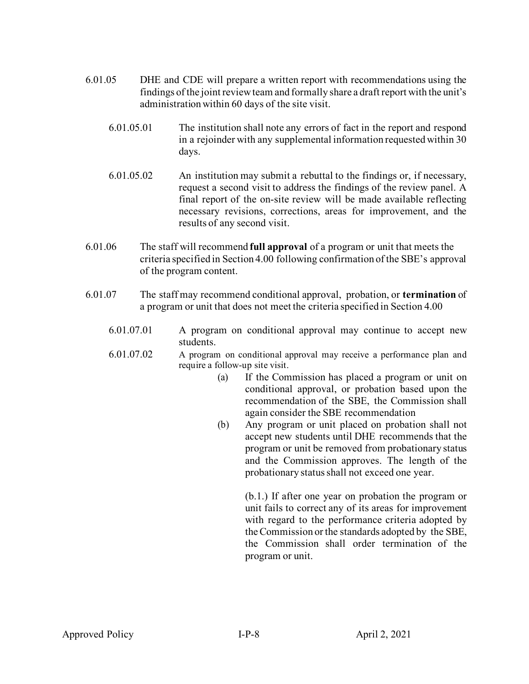- 6.01.05 DHE and CDE will prepare a written report with recommendations using the findings of the joint review team and formally share a draft report with the unit's administration within 60 days of the site visit.
	- 6.01.05.01 The institution shall note any errors of fact in the report and respond in a rejoinder with any supplemental information requested within 30 days.
	- 6.01.05.02 An institution may submit a rebuttal to the findings or, if necessary, request a second visit to address the findings of the review panel. A final report of the on-site review will be made available reflecting necessary revisions, corrections, areas for improvement, and the results of any second visit.
- 6.01.06 The staff will recommend **full approval** of a program or unit that meets the criteria specified in Section 4.00 following confirmation of the SBE's approval of the program content.
- 6.01.07 The staff may recommend conditional approval, probation, or **termination** of a program or unit that does not meet the criteria specified in Section 4.00
	- 6.01.07.01 A program on conditional approval may continue to accept new students.
	- 6.01.07.02 A program on conditional approval may receive a performance plan and require a follow-up site visit.
		- (a) If the Commission has placed a program or unit on conditional approval, or probation based upon the recommendation of the SBE, the Commission shall again consider the SBE recommendation
		- (b) Any program or unit placed on probation shall not accept new students until DHE recommends that the program or unit be removed from probationary status and the Commission approves. The length of the probationary status shall not exceed one year.

(b.1.) If after one year on probation the program or unit fails to correct any of its areas for improvement with regard to the performance criteria adopted by theCommission or the standards adopted by the SBE, the Commission shall order termination of the program or unit.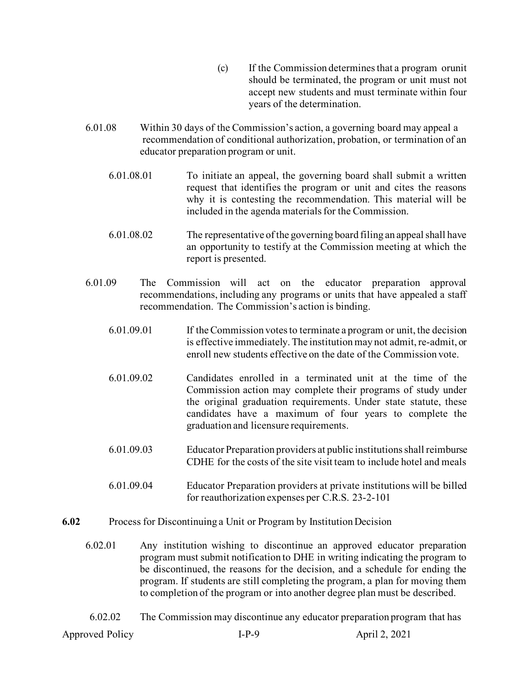- (c) If the Commission determinesthat a program orunit should be terminated, the program or unit must not accept new students and must terminate within four years of the determination.
- 6.01.08 Within 30 days of the Commission's action, a governing board may appeal a recommendation of conditional authorization, probation, or termination of an educator preparation program or unit.
	- 6.01.08.01 To initiate an appeal, the governing board shall submit a written request that identifies the program or unit and cites the reasons why it is contesting the recommendation. This material will be included in the agenda materials for the Commission.
	- 6.01.08.02 The representative of the governing board filing an appeal shall have an opportunity to testify at the Commission meeting at which the report is presented.
- 6.01.09 The Commission will act on the educator preparation approval recommendations, including any programs or units that have appealed a staff recommendation. The Commission's action is binding.
	- 6.01.09.01 If theCommission votesto terminate a program or unit, the decision is effective immediately. The institution may not admit, re-admit, or enroll new students effective on the date of the Commission vote.
	- 6.01.09.02 Candidates enrolled in a terminated unit at the time of the Commission action may complete their programs of study under the original graduation requirements. Under state statute, these candidates have a maximum of four years to complete the graduation and licensure requirements.
	- 6.01.09.03 Educator Preparation providers at public institutions shall reimburse CDHE for the costs of the site visit team to include hotel and meals
	- 6.01.09.04 Educator Preparation providers at private institutions will be billed for reauthorization expenses per C.R.S. 23-2-101
- **6.02** Process for Discontinuing a Unit or Program by Institution Decision
	- 6.02.01 Any institution wishing to discontinue an approved educator preparation program must submit notification to DHE in writing indicating the program to be discontinued, the reasons for the decision, and a schedule for ending the program. If students are still completing the program, a plan for moving them to completion of the program or into another degree plan must be described.
	- 6.02.02 The Commission may discontinue any educator preparation program that has

Approved Policy **I-P-9** April 2, 2021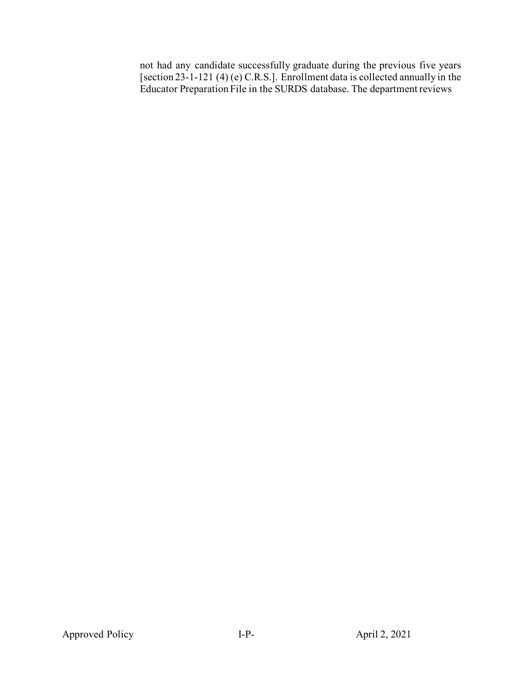not had any candidate successfully graduate during the previous five years [section 23-1-121 (4) (e) C.R.S.]. Enrollment data is collected annually in the Educator Preparation File in the SURDS database. The department reviews